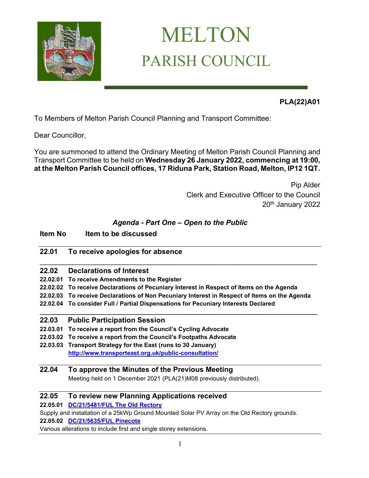

# MELTON PARISH COUNCIL

**PLA(22)A01** 

To Members of Melton Parish Council Planning and Transport Committee:

Dear Councillor,

You are summoned to attend the Ordinary Meeting of Melton Parish Council Planning and Transport Committee to be held on **Wednesday 26 January 2022, commencing at 19:00, at the Melton Parish Council offices, 17 Riduna Park, Station Road, Melton, IP12 1QT.** 

> Pip Alder Clerk and Executive Officer to the Council 20<sup>th</sup> January 2022

## *Agenda - Part One – Open to the Public*

## **Item No Item to be discussed**

## **22.01 To receive apologies for absence**

- **22.02 Declarations of Interest**
- **22.02.01 To receive Amendments to the Register**
- **22.02.02 To receive Declarations of Pecuniary Interest in Respect of Items on the Agenda**
- **22.02.03 To receive Declarations of Non Pecuniary Interest in Respect of Items on the Agenda**

**\_\_\_\_\_\_\_\_\_\_\_\_\_\_\_\_\_\_\_\_\_\_\_\_\_\_\_\_\_\_\_\_\_\_\_\_\_\_\_\_\_\_\_\_\_\_\_\_\_\_\_\_\_\_\_\_\_\_\_\_\_\_\_\_\_\_\_\_\_\_\_\_\_\_\_\_\_\_\_\_\_\_\_**

\_\_\_\_\_\_\_\_\_\_\_\_\_\_\_\_\_\_\_\_\_\_\_\_\_\_\_\_\_\_\_\_\_\_\_\_\_\_\_\_\_\_\_\_\_\_\_\_\_\_\_\_\_\_\_\_\_\_\_\_\_\_\_\_\_\_\_\_\_

**22.02.04 To consider Full / Partial Dispensations for Pecuniary Interests Declared** 

## **22.03 Public Participation Session**

- **22.03.01 To receive a report from the Council's Cycling Advocate**
- **22.03.02 To receive a report from the Council's Footpaths Advocate**
- **22.03.03 Transport Strategy for the East (runs to 30 January) <http://www.transporteast.org.uk/public-consultation/>**

## **22.04 To approve the Minutes of the Previous Meeting**

Meeting held on 1 December 2021 (PLA(21)M08 previously distributed).

## **22.05 To review new Planning Applications received**

**22.05.01 [DC/21/5481/FUL The Old Rectory](https://publicaccess.eastsuffolk.gov.uk/online-applications/applicationDetails.do?activeTab=summary&keyVal=R3PC3UQXHLR00)**

Supply and installation of a 25kWp Ground Mounted Solar PV Array on the Old Rectory grounds.

**22.05.02 [DC/21/5635/FUL Pinecote](https://publicaccess.eastsuffolk.gov.uk/online-applications/applicationDetails.do?activeTab=summary&keyVal=R49LIXQXHUF00)**

Various alterations to include first and single storey extensions.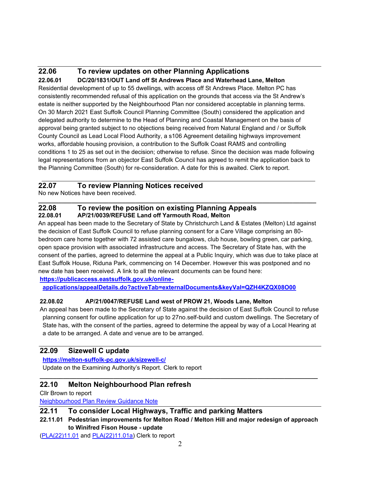#### **22.06 To review updates on other Planning Applications 22.06.01 DC/20/1831/OUT Land off St Andrews Place and Waterhead Lane, Melton**

Residential development of up to 55 dwellings, with access off St Andrews Place. Melton PC has consistently recommended refusal of this application on the grounds that access via the St Andrew's estate is neither supported by the Neighbourhood Plan nor considered acceptable in planning terms. On 30 March 2021 East Suffolk Council Planning Committee (South) considered the application and delegated authority to determine to the Head of Planning and Coastal Management on the basis of approval being granted subject to no objections being received from Natural England and / or Suffolk County Council as Lead Local Flood Authority, a s106 Agreement detailing highways improvement works, affordable housing provision, a contribution to the Suffolk Coast RAMS and controlling conditions 1 to 25 as set out in the decision; otherwise to refuse. Since the decision was made following legal representations from an objector East Suffolk Council has agreed to remit the application back to the Planning Committee (South) for re-consideration. A date for this is awaited. Clerk to report.

## **22.07 To review Planning Notices received**

No new Notices have been received.

#### **\_\_\_\_\_\_\_\_\_\_\_\_\_\_\_\_\_\_\_\_\_\_\_\_\_\_\_\_\_\_\_\_\_\_\_\_\_\_\_\_\_\_\_\_\_\_\_\_\_\_\_\_\_\_\_\_\_\_\_\_\_\_\_\_\_\_\_\_\_\_\_\_\_\_\_\_\_\_\_\_\_\_\_ 22.08 To review the position on existing Planning Appeals 22.08.01 AP/21/0039/REFUSE Land off Yarmouth Road, Melton**

An appeal has been made to the Secretary of State by Christchurch Land & Estates (Melton) Ltd against the decision of East Suffolk Council to refuse planning consent for a Care Village comprising an 80 bedroom care home together with 72 assisted care bungalows, club house, bowling green, car parking, open space provision with associated infrastructure and access. The Secretary of State has, with the consent of the parties, agreed to determine the appeal at a Public Inquiry, which was due to take place at East Suffolk House, Riduna Park, commencing on 14 December. However this was postponed and no new date has been received. A link to all the relevant documents can be found here:

**[https://publicaccess.eastsuffolk.gov.uk/online-](https://publicaccess.eastsuffolk.gov.uk/online-applications/appealDetails.do?activeTab=externalDocuments&keyVal=QZH4KZQX08O00)**

**[applications/appealDetails.do?activeTab=externalDocuments&keyVal=QZH4KZQX08O00](https://publicaccess.eastsuffolk.gov.uk/online-applications/appealDetails.do?activeTab=externalDocuments&keyVal=QZH4KZQX08O00)**

#### **22.08.02 AP/21/0047/REFUSE Land west of PROW 21, Woods Lane, Melton**

An appeal has been made to the Secretary of State against the decision of East Suffolk Council to refuse planning consent for outline application for up to 27no.self-build and custom dwellings. The Secretary of State has, with the consent of the parties, agreed to determine the appeal by way of a Local Hearing at a date to be arranged. A date and venue are to be arranged.

## **22.09 Sizewell C update**

**<https://melton-suffolk-pc.gov.uk/sizewell-c/>** Update on the Examining Authority's Report. Clerk to report

## **22.10 Melton Neighbourhood Plan refresh**

Cllr Brown to report

[Neighbourhood Plan Review Guidance Note](https://www.eastsuffolk.gov.uk/assets/Planning/Neighbourhood-Planning/Preparing-a-Neighbourhood-Plan/Neighbourhood-Planning-Guidance-Note-Review-of-Made-Neighbourhood-Development-Plans.pdf)

## **22.11 To consider Local Highways, Traffic and parking Matters**

#### **22.11.01 Pedestrian improvements for Melton Road / Melton Hill and major redesign of approach to Winifred Fison House - update**

**\_\_\_\_\_\_\_\_\_\_\_\_\_\_\_\_\_\_\_\_\_\_\_\_\_\_\_\_\_\_\_\_\_\_\_\_\_\_\_\_\_\_\_\_\_\_\_\_\_\_\_\_\_\_\_\_\_\_\_\_\_\_\_\_\_\_\_\_\_\_\_\_\_\_\_\_\_\_\_\_\_\_\_** 

[\(PLA\(22\)11.01](https://melton-suffolk-pc.gov.uk/documents/pla2211-01-melton-road-and-winifred-fison-house-update/) and [PLA\(22\)11.01a\)](https://melton-suffolk-pc.gov.uk/wp-content/uploads/2022/01/PLA_22_11_01asafetyaudit.pdf) Clerk to report